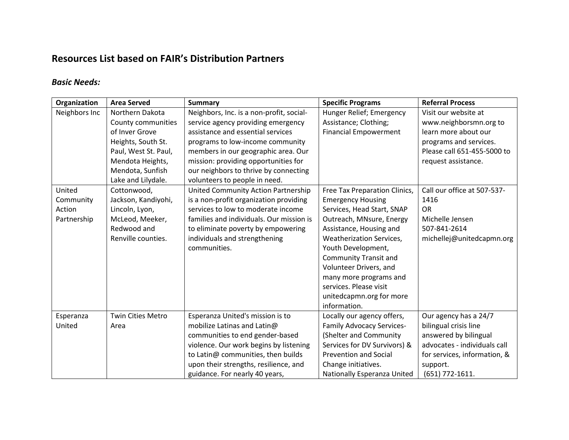### **Resources List based on FAIR's Distribution Partners**

#### *Basic Needs:*

| Organization  | <b>Area Served</b>       | <b>Summary</b>                           | <b>Specific Programs</b>         | <b>Referral Process</b>      |
|---------------|--------------------------|------------------------------------------|----------------------------------|------------------------------|
| Neighbors Inc | Northern Dakota          | Neighbors, Inc. is a non-profit, social- | Hunger Relief; Emergency         | Visit our website at         |
|               | County communities       | service agency providing emergency       | Assistance; Clothing;            | www.neighborsmn.org to       |
|               | of Inver Grove           | assistance and essential services        | <b>Financial Empowerment</b>     | learn more about our         |
|               | Heights, South St.       | programs to low-income community         |                                  | programs and services.       |
|               | Paul, West St. Paul,     | members in our geographic area. Our      |                                  | Please call 651-455-5000 to  |
|               | Mendota Heights,         | mission: providing opportunities for     |                                  | request assistance.          |
|               | Mendota, Sunfish         | our neighbors to thrive by connecting    |                                  |                              |
|               | Lake and Lilydale.       | volunteers to people in need.            |                                  |                              |
| United        | Cottonwood,              | United Community Action Partnership      | Free Tax Preparation Clinics,    | Call our office at 507-537-  |
| Community     | Jackson, Kandiyohi,      | is a non-profit organization providing   | <b>Emergency Housing</b>         | 1416                         |
| Action        | Lincoln, Lyon,           | services to low to moderate income       | Services, Head Start, SNAP       | <b>OR</b>                    |
| Partnership   | McLeod, Meeker,          | families and individuals. Our mission is | Outreach, MNsure, Energy         | Michelle Jensen              |
|               | Redwood and              | to eliminate poverty by empowering       | Assistance, Housing and          | 507-841-2614                 |
|               | Renville counties.       | individuals and strengthening            | Weatherization Services,         | michellej@unitedcapmn.org    |
|               |                          | communities.                             | Youth Development,               |                              |
|               |                          |                                          | <b>Community Transit and</b>     |                              |
|               |                          |                                          | Volunteer Drivers, and           |                              |
|               |                          |                                          | many more programs and           |                              |
|               |                          |                                          | services. Please visit           |                              |
|               |                          |                                          | unitedcapmn.org for more         |                              |
|               |                          |                                          | information.                     |                              |
| Esperanza     | <b>Twin Cities Metro</b> | Esperanza United's mission is to         | Locally our agency offers,       | Our agency has a 24/7        |
| United        | Area                     | mobilize Latinas and Latin@              | <b>Family Advocacy Services-</b> | bilingual crisis line        |
|               |                          | communities to end gender-based          | (Shelter and Community           | answered by bilingual        |
|               |                          | violence. Our work begins by listening   | Services for DV Survivors) &     | advocates - individuals call |
|               |                          | to Latin@ communities, then builds       | <b>Prevention and Social</b>     | for services, information, & |
|               |                          | upon their strengths, resilience, and    | Change initiatives.              | support.                     |
|               |                          | guidance. For nearly 40 years,           | Nationally Esperanza United      | $(651)$ 772-1611.            |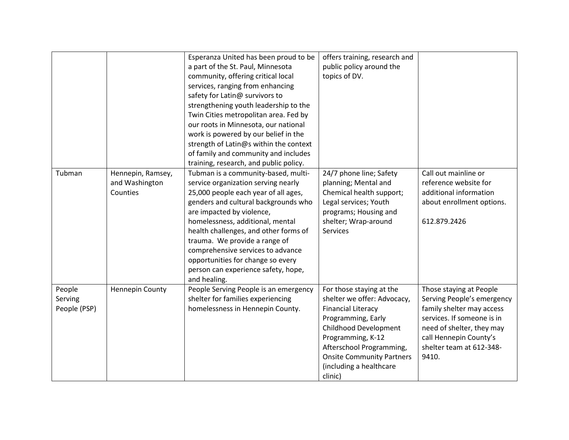|              |                   | Esperanza United has been proud to be  | offers training, research and    |                            |
|--------------|-------------------|----------------------------------------|----------------------------------|----------------------------|
|              |                   | a part of the St. Paul, Minnesota      | public policy around the         |                            |
|              |                   | community, offering critical local     | topics of DV.                    |                            |
|              |                   | services, ranging from enhancing       |                                  |                            |
|              |                   | safety for Latin@ survivors to         |                                  |                            |
|              |                   | strengthening youth leadership to the  |                                  |                            |
|              |                   | Twin Cities metropolitan area. Fed by  |                                  |                            |
|              |                   | our roots in Minnesota, our national   |                                  |                            |
|              |                   | work is powered by our belief in the   |                                  |                            |
|              |                   | strength of Latin@s within the context |                                  |                            |
|              |                   | of family and community and includes   |                                  |                            |
|              |                   | training, research, and public policy. |                                  |                            |
| Tubman       | Hennepin, Ramsey, | Tubman is a community-based, multi-    | 24/7 phone line; Safety          | Call out mainline or       |
|              | and Washington    | service organization serving nearly    | planning; Mental and             | reference website for      |
|              | Counties          | 25,000 people each year of all ages,   | Chemical health support;         | additional information     |
|              |                   | genders and cultural backgrounds who   | Legal services; Youth            | about enrollment options.  |
|              |                   | are impacted by violence,              | programs; Housing and            |                            |
|              |                   | homelessness, additional, mental       | shelter; Wrap-around             | 612.879.2426               |
|              |                   | health challenges, and other forms of  | <b>Services</b>                  |                            |
|              |                   | trauma. We provide a range of          |                                  |                            |
|              |                   | comprehensive services to advance      |                                  |                            |
|              |                   | opportunities for change so every      |                                  |                            |
|              |                   | person can experience safety, hope,    |                                  |                            |
|              |                   | and healing.                           |                                  |                            |
| People       | Hennepin County   | People Serving People is an emergency  | For those staying at the         | Those staying at People    |
| Serving      |                   | shelter for families experiencing      | shelter we offer: Advocacy,      | Serving People's emergency |
| People (PSP) |                   | homelessness in Hennepin County.       | <b>Financial Literacy</b>        | family shelter may access  |
|              |                   |                                        | Programming, Early               | services. If someone is in |
|              |                   |                                        | <b>Childhood Development</b>     | need of shelter, they may  |
|              |                   |                                        | Programming, K-12                | call Hennepin County's     |
|              |                   |                                        | Afterschool Programming,         | shelter team at 612-348-   |
|              |                   |                                        | <b>Onsite Community Partners</b> | 9410.                      |
|              |                   |                                        | (including a healthcare          |                            |
|              |                   |                                        | clinic)                          |                            |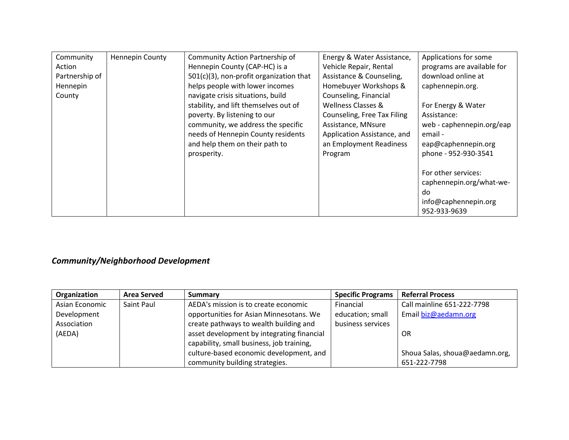| Community      | <b>Hennepin County</b> | Community Action Partnership of         | Energy & Water Assistance,  | Applications for some      |
|----------------|------------------------|-----------------------------------------|-----------------------------|----------------------------|
| Action         |                        | Hennepin County (CAP-HC) is a           | Vehicle Repair, Rental      | programs are available for |
| Partnership of |                        | 501(c)(3), non-profit organization that | Assistance & Counseling,    | download online at         |
| Hennepin       |                        | helps people with lower incomes         | Homebuyer Workshops &       | caphennepin.org.           |
| County         |                        | navigate crisis situations, build       | Counseling, Financial       |                            |
|                |                        | stability, and lift themselves out of   | Wellness Classes &          | For Energy & Water         |
|                |                        | poverty. By listening to our            | Counseling, Free Tax Filing | Assistance:                |
|                |                        | community, we address the specific      | Assistance, MNsure          | web - caphennepin.org/eap  |
|                |                        | needs of Hennepin County residents      | Application Assistance, and | email -                    |
|                |                        | and help them on their path to          | an Employment Readiness     | eap@caphennepin.org        |
|                |                        | prosperity.                             | Program                     | phone - 952-930-3541       |
|                |                        |                                         |                             |                            |
|                |                        |                                         |                             | For other services:        |
|                |                        |                                         |                             | caphennepin.org/what-we-   |
|                |                        |                                         |                             | do                         |
|                |                        |                                         |                             | info@caphennepin.org       |
|                |                        |                                         |                             | 952-933-9639               |

# *Community/Neighborhood Development*

| Organization   | <b>Area Served</b> | <b>Summary</b>                             | <b>Specific Programs</b> | <b>Referral Process</b>        |
|----------------|--------------------|--------------------------------------------|--------------------------|--------------------------------|
| Asian Economic | Saint Paul         | AEDA's mission is to create economic       | Financial                | Call mainline 651-222-7798     |
| Development    |                    | opportunities for Asian Minnesotans. We    | education; small         | Email biz@aedamn.org           |
| Association    |                    | create pathways to wealth building and     | business services        |                                |
| (AEDA)         |                    | asset development by integrating financial |                          | <b>OR</b>                      |
|                |                    | capability, small business, job training,  |                          |                                |
|                |                    | culture-based economic development, and    |                          | Shoua Salas, shoua@aedamn.org, |
|                |                    | community building strategies.             |                          | 651-222-7798                   |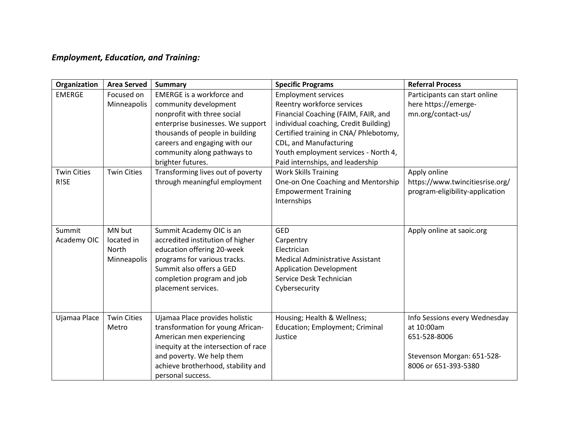## *Employment, Education, and Training:*

| Organization       | <b>Area Served</b> | <b>Summary</b>                       | <b>Specific Programs</b>                | <b>Referral Process</b>         |
|--------------------|--------------------|--------------------------------------|-----------------------------------------|---------------------------------|
| <b>EMERGE</b>      | Focused on         | <b>EMERGE is a workforce and</b>     | <b>Employment services</b>              | Participants can start online   |
|                    | Minneapolis        | community development                | Reentry workforce services              | here https://emerge-            |
|                    |                    | nonprofit with three social          | Financial Coaching (FAIM, FAIR, and     | mn.org/contact-us/              |
|                    |                    | enterprise businesses. We support    | individual coaching, Credit Building)   |                                 |
|                    |                    | thousands of people in building      | Certified training in CNA/ Phlebotomy,  |                                 |
|                    |                    | careers and engaging with our        | CDL, and Manufacturing                  |                                 |
|                    |                    | community along pathways to          | Youth employment services - North 4,    |                                 |
|                    |                    | brighter futures.                    | Paid internships, and leadership        |                                 |
| <b>Twin Cities</b> | <b>Twin Cities</b> | Transforming lives out of poverty    | <b>Work Skills Training</b>             | Apply online                    |
| R!SE               |                    | through meaningful employment        | One-on One Coaching and Mentorship      | https://www.twincitiesrise.org/ |
|                    |                    |                                      | <b>Empowerment Training</b>             | program-eligibility-application |
|                    |                    |                                      | Internships                             |                                 |
|                    |                    |                                      |                                         |                                 |
|                    |                    |                                      |                                         |                                 |
| Summit             | MN but             | Summit Academy OIC is an             | <b>GED</b>                              | Apply online at saoic.org       |
| Academy OIC        | located in         | accredited institution of higher     | Carpentry                               |                                 |
|                    | North              | education offering 20-week           | Electrician                             |                                 |
|                    | Minneapolis        | programs for various tracks.         | <b>Medical Administrative Assistant</b> |                                 |
|                    |                    | Summit also offers a GED             | <b>Application Development</b>          |                                 |
|                    |                    | completion program and job           | Service Desk Technician                 |                                 |
|                    |                    | placement services.                  | Cybersecurity                           |                                 |
|                    |                    |                                      |                                         |                                 |
|                    |                    |                                      |                                         |                                 |
| Ujamaa Place       | <b>Twin Cities</b> | Ujamaa Place provides holistic       | Housing; Health & Wellness;             | Info Sessions every Wednesday   |
|                    | Metro              | transformation for young African-    | <b>Education; Employment; Criminal</b>  | at 10:00am                      |
|                    |                    | American men experiencing            | Justice                                 | 651-528-8006                    |
|                    |                    | inequity at the intersection of race |                                         |                                 |
|                    |                    | and poverty. We help them            |                                         | Stevenson Morgan: 651-528-      |
|                    |                    | achieve brotherhood, stability and   |                                         | 8006 or 651-393-5380            |
|                    |                    | personal success.                    |                                         |                                 |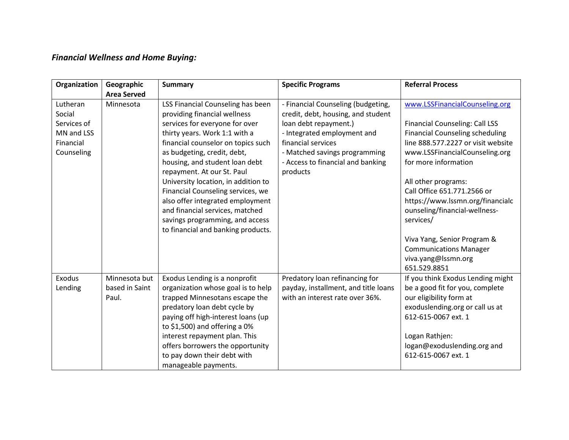## *Financial Wellness and Home Buying:*

| Organization       | Geographic<br><b>Area Served</b> | <b>Summary</b>                                                    | <b>Specific Programs</b>                                                 | <b>Referral Process</b>                |
|--------------------|----------------------------------|-------------------------------------------------------------------|--------------------------------------------------------------------------|----------------------------------------|
| Lutheran<br>Social | Minnesota                        | LSS Financial Counseling has been<br>providing financial wellness | - Financial Counseling (budgeting,<br>credit, debt, housing, and student | www.LSSFinancialCounseling.org         |
| Services of        |                                  | services for everyone for over                                    | loan debt repayment.)                                                    | <b>Financial Counseling: Call LSS</b>  |
| MN and LSS         |                                  | thirty years. Work 1:1 with a                                     | - Integrated employment and                                              | <b>Financial Counseling scheduling</b> |
| Financial          |                                  | financial counselor on topics such                                | financial services                                                       | line 888.577.2227 or visit website     |
| Counseling         |                                  | as budgeting, credit, debt,                                       | - Matched savings programming                                            | www.LSSFinancialCounseling.org         |
|                    |                                  | housing, and student loan debt                                    | - Access to financial and banking                                        | for more information                   |
|                    |                                  | repayment. At our St. Paul                                        | products                                                                 |                                        |
|                    |                                  | University location, in addition to                               |                                                                          | All other programs:                    |
|                    |                                  | Financial Counseling services, we                                 |                                                                          | Call Office 651.771.2566 or            |
|                    |                                  | also offer integrated employment                                  |                                                                          | https://www.lssmn.org/financialc       |
|                    |                                  | and financial services, matched                                   |                                                                          | ounseling/financial-wellness-          |
|                    |                                  | savings programming, and access                                   |                                                                          | services/                              |
|                    |                                  | to financial and banking products.                                |                                                                          |                                        |
|                    |                                  |                                                                   |                                                                          | Viva Yang, Senior Program &            |
|                    |                                  |                                                                   |                                                                          | <b>Communications Manager</b>          |
|                    |                                  |                                                                   |                                                                          | viva.yang@lssmn.org                    |
|                    |                                  |                                                                   |                                                                          | 651.529.8851                           |
| Exodus             | Minnesota but                    | Exodus Lending is a nonprofit                                     | Predatory loan refinancing for                                           | If you think Exodus Lending might      |
| Lending            | based in Saint                   | organization whose goal is to help                                | payday, installment, and title loans                                     | be a good fit for you, complete        |
|                    | Paul.                            | trapped Minnesotans escape the                                    | with an interest rate over 36%.                                          | our eligibility form at                |
|                    |                                  | predatory loan debt cycle by                                      |                                                                          | exoduslending.org or call us at        |
|                    |                                  | paying off high-interest loans (up                                |                                                                          | 612-615-0067 ext. 1                    |
|                    |                                  | to \$1,500) and offering a 0%                                     |                                                                          |                                        |
|                    |                                  | interest repayment plan. This                                     |                                                                          | Logan Rathjen:                         |
|                    |                                  | offers borrowers the opportunity                                  |                                                                          | logan@exoduslending.org and            |
|                    |                                  | to pay down their debt with                                       |                                                                          | 612-615-0067 ext. 1                    |
|                    |                                  | manageable payments.                                              |                                                                          |                                        |